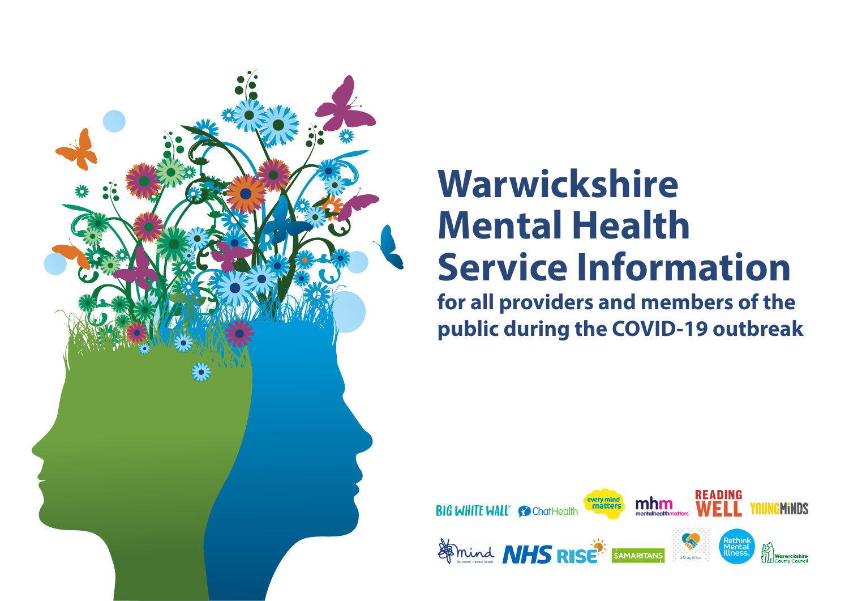

# **Warwickshire Mental Health Service Information**

**for all providers and members of the public during the COVID-19 outbreak**

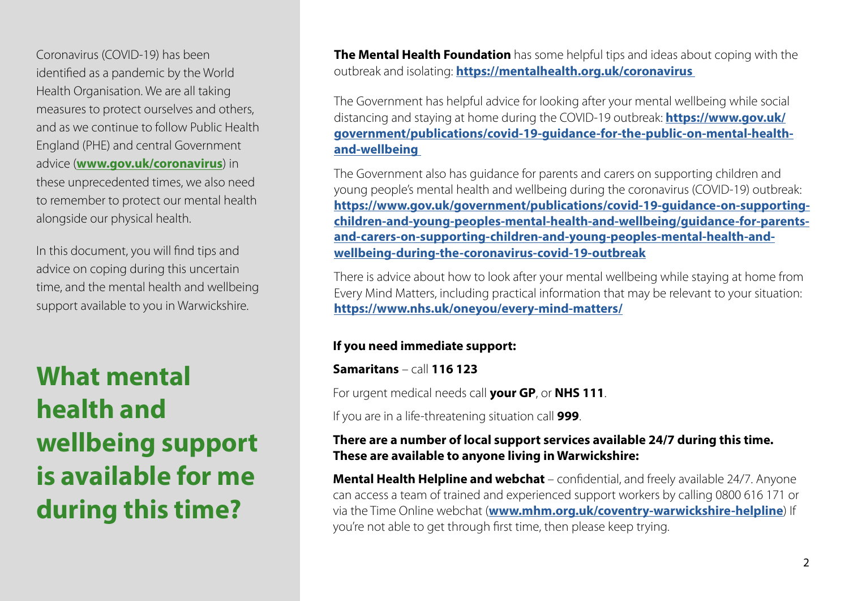Coronavirus (COVID-19) has been identified as a pandemic by the World Health Organisation. We are all taking measures to protect ourselves and others, and as we continue to follow Public Health England (PHE) and central Government advice (**www.gov.uk/coronavirus**) in these unprecedented times, we also need to remember to protect our mental health alongside our physical health.

In this document, you will find tips and advice on coping during this uncertain time, and the mental health and wellbeing support available to you in Warwickshire.

**What mental health and wellbeing support is available for me during this time?**

**The Mental Health Foundation** has some helpful tips and ideas about coping with the outbreak and isolating: **https://mentalhealth.org.uk/coronavirus** 

The Government has helpful advice for looking after your mental wellbeing while social distancing and staying at home during the COVID-19 outbreak: **https://www.gov.uk/ government/publications/covid-19-guidance-for-the-public-on-mental-healthand-wellbeing** 

The Government also has guidance for parents and carers on supporting children and young people's mental health and wellbeing during the coronavirus (COVID-19) outbreak: **https://www.gov.uk/government/publications/covid-19-guidance-on-supportingchildren-and-young-peoples-mental-health-and-wellbeing/guidance-for-parentsand-carers-on-supporting-children-and-young-peoples-mental-health-andwellbeing-during-the-coronavirus-covid-19-outbreak**

There is advice about how to look after your mental wellbeing while staying at home from Every Mind Matters, including practical information that may be relevant to your situation: **https://www.nhs.uk/oneyou/every-mind-matters/**

### **If you need immediate support:**

**Samaritans** – call **116 123**

For urgent medical needs call **your GP**, or **NHS 111**.

If you are in a life-threatening situation call **999**.

### **There are a number of local support services available 24/7 during this time. These are available to anyone living in Warwickshire:**

**Mental Health Helpline and webchat** – confidential, and freely available 24/7. Anyone can access a team of trained and experienced support workers by calling 0800 616 171 or via the Time Online webchat (**www.mhm.org.uk/coventry-warwickshire-helpline**) If you're not able to get through first time, then please keep trying.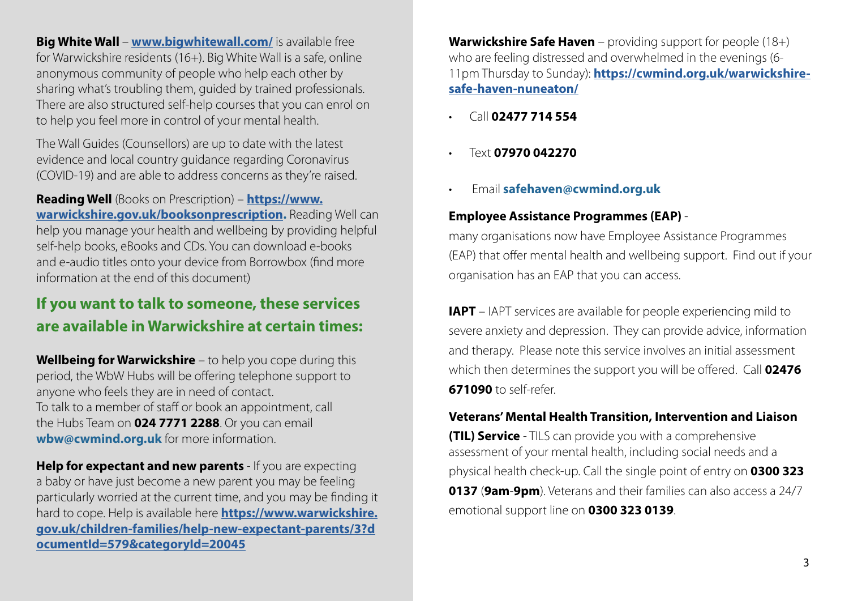**Big White Wall - www.bigwhitewall.com/** is available free for Warwickshire residents (16+). Big White Wall is a safe, online anonymous community of people who help each other by sharing what's troubling them, guided by trained professionals. There are also structured self-help courses that you can enrol on to help you feel more in control of your mental health.

The Wall Guides (Counsellors) are up to date with the latest evidence and local country guidance regarding Coronavirus (COVID-19) and are able to address concerns as they're raised.

**Reading Well** (Books on Prescription) – **https://www. warwickshire.gov.uk/booksonprescription.** Reading Well can help you manage your health and wellbeing by providing helpful self-help books, eBooks and CDs. You can download e-books and e-audio titles onto your device from Borrowbox (find more information at the end of this document)

## **If you want to talk to someone, these services are available in Warwickshire at certain times:**

**Wellbeing for Warwickshire** – to help you cope during this period, the WbW Hubs will be offering telephone support to anyone who feels they are in need of contact. To talk to a member of staff or book an appointment, call the Hubs Team on **024 7771 2288**. Or you can email **wbw@cwmind.org.uk** for more information.

**Help for expectant and new parents** - If you are expecting a baby or have just become a new parent you may be feeling particularly worried at the current time, and you may be finding it hard to cope. Help is available here **https://www.warwickshire. gov.uk/children-families/help-new-expectant-parents/3?d ocumentId=579&categoryId=20045**

**Warwickshire Safe Haven** – providing support for people (18+) who are feeling distressed and overwhelmed in the evenings (6- 11pm Thursday to Sunday): **https://cwmind.org.uk/warwickshiresafe-haven-nuneaton/**

- Call **02477 714 554**
- Text **07970 042270**
- Email **safehaven@cwmind.org.uk**

## **Employee Assistance Programmes (EAP)** -

many organisations now have Employee Assistance Programmes (EAP) that offer mental health and wellbeing support. Find out if your organisation has an EAP that you can access.

**IAPT** – IAPT services are available for people experiencing mild to severe anxiety and depression. They can provide advice, information and therapy. Please note this service involves an initial assessment which then determines the support you will be offered. Call **02476 671090** to self-refer.

### **Veterans' Mental Health Transition, Intervention and Liaison**

**(TIL) Service** - TILS can provide you with a comprehensive assessment of your mental health, including social needs and a physical health check-up. Call the single point of entry on **0300 323 0137** (**9am**-**9pm**). Veterans and their families can also access a 24/7 emotional support line on **0300 323 0139**.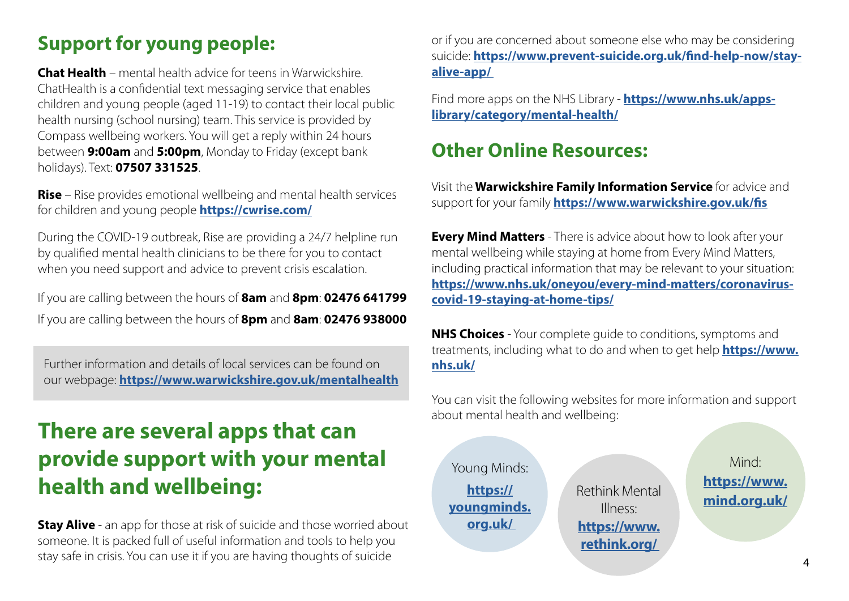## **Support for young people:**

**Chat Health** – mental health advice for teens in Warwickshire. ChatHealth is a confidential text messaging service that enables children and young people (aged 11-19) to contact their local public health nursing (school nursing) team. This service is provided by Compass wellbeing workers. You will get a reply within 24 hours between **9:00am** and **5:00pm**, Monday to Friday (except bank holidays). Text: **07507 331525**.

**Rise** – Rise provides emotional wellbeing and mental health services for children and young people **https://cwrise.com/**

During the COVID-19 outbreak, Rise are providing a 24/7 helpline run by qualified mental health clinicians to be there for you to contact when you need support and advice to prevent crisis escalation.

If you are calling between the hours of **8am** and **8pm**: **02476 641799** If you are calling between the hours of **8pm** and **8am**: **02476 938000**

Further information and details of local services can be found on our webpage: **https://www.warwickshire.gov.uk/mentalhealth**

## **There are several apps that can provide support with your mental health and wellbeing:**

**Stay Alive** - an app for those at risk of suicide and those worried about someone. It is packed full of useful information and tools to help you stay safe in crisis. You can use it if you are having thoughts of suicide

or if you are concerned about someone else who may be considering suicide: **https://www.prevent-suicide.org.uk/find-help-now/stayalive-app/** 

Find more apps on the NHS Library - **https://www.nhs.uk/appslibrary/category/mental-health/**

## **Other Online Resources:**

Visit the **Warwickshire Family Information Service** for advice and support for your family **https://www.warwickshire.gov.uk/fis**

**Every Mind Matters** - There is advice about how to look after your mental wellbeing while staying at home from Every Mind Matters, including practical information that may be relevant to your situation: **https://www.nhs.uk/oneyou/every-mind-matters/coronaviruscovid-19-staying-at-home-tips/**

**NHS Choices** - Your complete guide to conditions, symptoms and treatments, including what to do and when to get help **https://www. nhs.uk/**

You can visit the following websites for more information and support about mental health and wellbeing:

Young Minds: **https:// youngminds. org.uk/**

Rethink Mental Illness: **https://www. rethink.org/** 

Mind: **https://www. mind.org.uk/**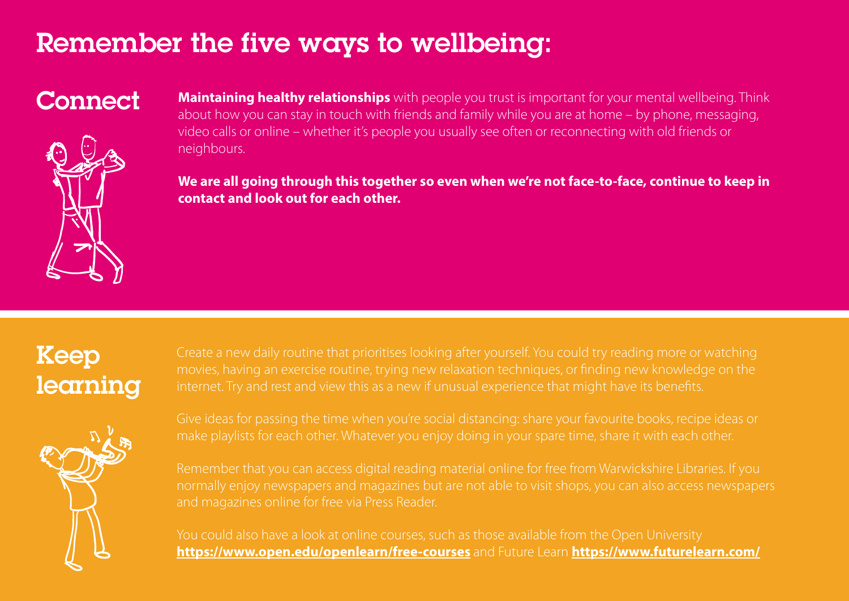## Remember the five ways to wellbeing:



Connect Maintaining healthy relationships with people you trust is important for your mental wellbeing. Think about how you can stay in touch with friends and family while you are at home – by phone, messaging, video calls or online – whether it's people you usually see often or reconnecting with old friends or neighbours.

> **We are all going through this together so even when we're not face-to-face, continue to keep in contact and look out for each other.**

## Keep learning



Create a new daily routine that prioritises looking after yourself. You could try reading more or watching internet. Try and rest and view this as a new if unusual experience that might have its benefits.

Give ideas for passing the time when you're social distancing: share your favourite books, recipe ideas or

Remember that you can access digital reading material online for free from Warwickshire Libraries. If you normally enjoy newspapers and magazines but are not able to visit shops, you can also access newspapers

**https://www.open.edu/openlearn/free-courses** and Future Learn **https://www.futurelearn.com/**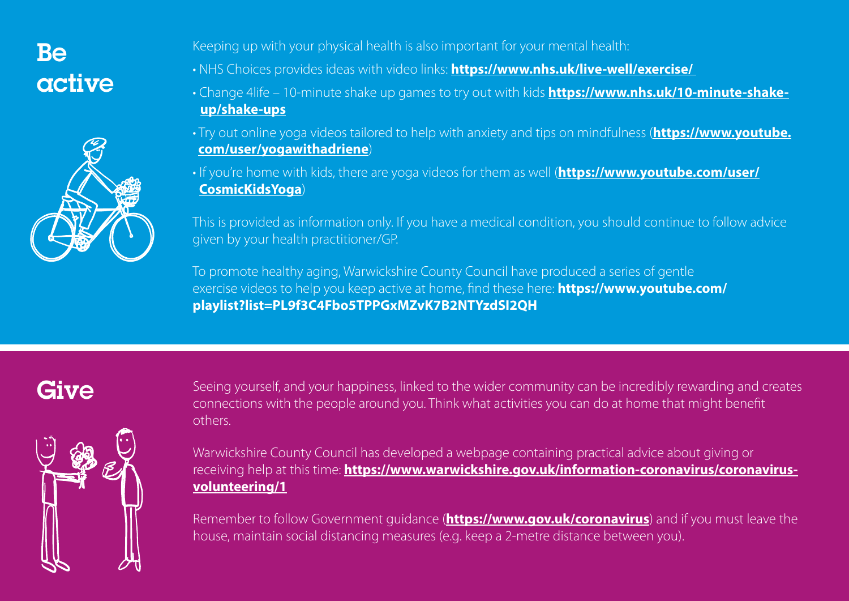## Be active



Keeping up with your physical health is also important for your mental health:

- NHS Choices provides ideas with video links: **https://www.nhs.uk/live-well/exercise/**
- Change 4life 10-minute shake up games to try out with kids **https://www.nhs.uk/10-minute-shake up/shake-ups**
- Try out online yoga videos tailored to help with anxiety and tips on mindfulness (**https://www.youtube. com/user/yogawithadriene**)
- If you're home with kids, there are yoga videos for them as well (**https://www.youtube.com/user/ CosmicKidsYoga**)

This is provided as information only. If you have a medical condition, you should continue to follow advice given by your health practitioner/GP.

To promote healthy aging, Warwickshire County Council have produced a series of gentle exercise videos to help you keep active at home, find these here: **https://www.youtube.com/ playlist?list=PL9f3C4Fbo5TPPGxMZvK7B2NTYzdSI2QH**



Give Seeing yourself, and your happiness, linked to the wider community can be incredibly rewarding and creates connections with the people around you. Think what activities you can do at home that might benefit others.

> Warwickshire County Council has developed a webpage containing practical advice about giving or receiving help at this time: **https://www.warwickshire.gov.uk/information-coronavirus/coronavirusvolunteering/1**

> Remember to follow Government guidance (**https://www.gov.uk/coronavirus**) and if you must leave the house, maintain social distancing measures (e.g. keep a 2-metre distance between you).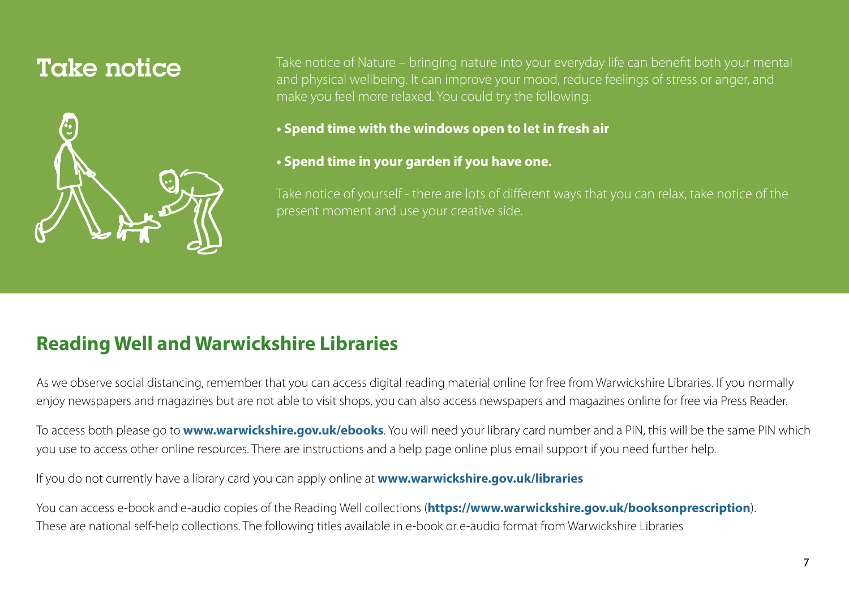

Take notice of Nature – bringing nature into your everyday life can benefit both your mental and physical wellbeing. It can improve your mood, reduce feelings of stress or anger, and make you feel more relaxed. You could try the following:

**• Spend time with the windows open to let in fresh air** 

### **• Spend time in your garden if you have one.**

Take notice of yourself - there are lots of different ways that you can relax, take notice of the present moment and use your creative side.

## **Reading Well and Warwickshire Libraries**

As we observe social distancing, remember that you can access digital reading material online for free from Warwickshire Libraries. If you normally enjoy newspapers and magazines but are not able to visit shops, you can also access newspapers and magazines online for free via Press Reader.

To access both please go to **www.warwickshire.gov.uk/ebooks**. You will need your library card number and a PIN, this will be the same PIN which you use to access other online resources. There are instructions and a help page online plus email support if you need further help.

If you do not currently have a library card you can apply online at **www.warwickshire.gov.uk/libraries**

You can access e-book and e-audio copies of the Reading Well collections (**https://www.warwickshire.gov.uk/booksonprescription**). These are national self-help collections. The following titles available in e-book or e-audio format from Warwickshire Libraries